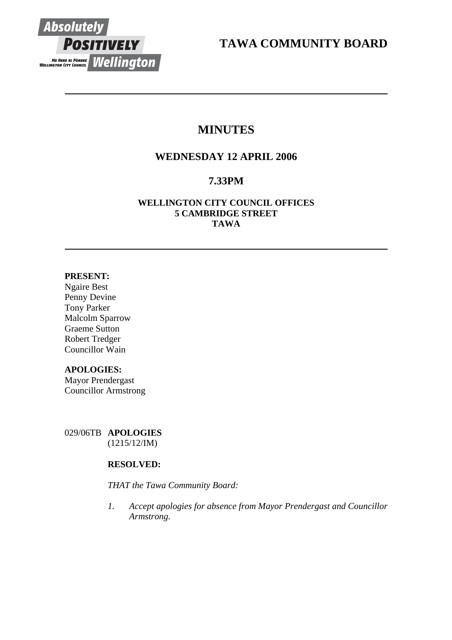

**TAWA COMMUNITY BOARD** 

# **MINUTES**

## **WEDNESDAY 12 APRIL 2006**

## **7.33PM**

## **WELLINGTON CITY COUNCIL OFFICES 5 CAMBRIDGE STREET TAWA**

## **PRESENT:**

Ngaire Best Penny Devine Tony Parker Malcolm Sparrow Graeme Sutton Robert Tredger Councillor Wain

## **APOLOGIES:**

Mayor Prendergast Councillor Armstrong

029/06TB **APOLOGIES** (1215/12/IM)

## **RESOLVED:**

*THAT the Tawa Community Board:* 

*1. Accept apologies for absence from Mayor Prendergast and Councillor Armstrong.*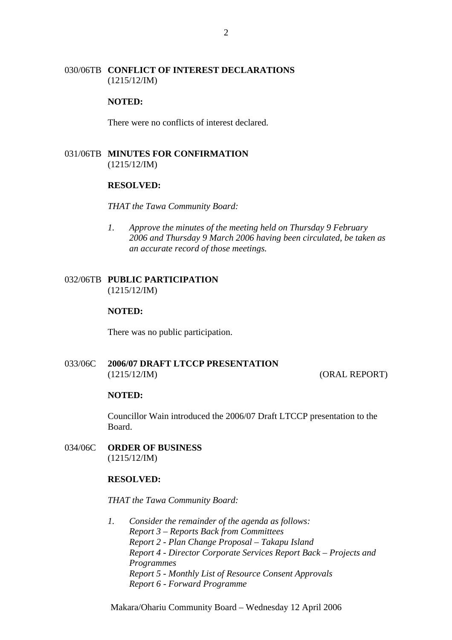## 030/06TB **CONFLICT OF INTEREST DECLARATIONS** (1215/12/IM)

## **NOTED:**

There were no conflicts of interest declared.

## 031/06TB **MINUTES FOR CONFIRMATION** (1215/12/IM)

#### **RESOLVED:**

#### *THAT the Tawa Community Board:*

*1. Approve the minutes of the meeting held on Thursday 9 February 2006 and Thursday 9 March 2006 having been circulated, be taken as an accurate record of those meetings.* 

## 032/06TB **PUBLIC PARTICIPATION** (1215/12/IM)

#### **NOTED:**

There was no public participation.

## 033/06C **2006/07 DRAFT LTCCP PRESENTATION** (1215/12/IM) (ORAL REPORT)

#### **NOTED:**

Councillor Wain introduced the 2006/07 Draft LTCCP presentation to the Board.

034/06C **ORDER OF BUSINESS** (1215/12/IM)

## **RESOLVED:**

#### *THAT the Tawa Community Board:*

*1. Consider the remainder of the agenda as follows: Report 3 – Reports Back from Committees Report 2 - Plan Change Proposal – Takapu Island Report 4 - Director Corporate Services Report Back – Projects and Programmes Report 5 - Monthly List of Resource Consent Approvals Report 6 - Forward Programme* 

Makara/Ohariu Community Board – Wednesday 12 April 2006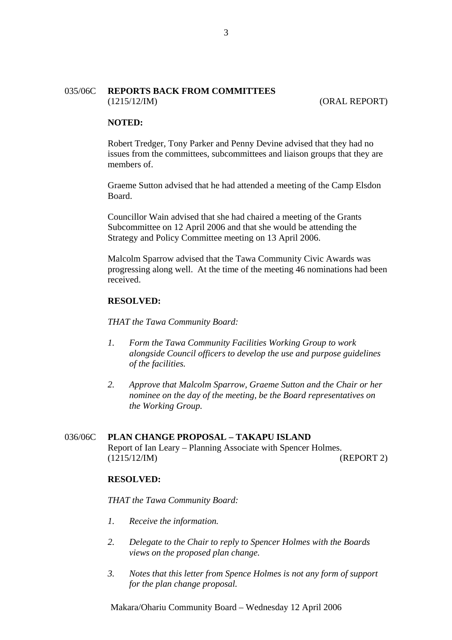## 035/06C **REPORTS BACK FROM COMMITTEES** (1215/12/IM) (ORAL REPORT)

## **NOTED:**

Robert Tredger, Tony Parker and Penny Devine advised that they had no issues from the committees, subcommittees and liaison groups that they are members of.

Graeme Sutton advised that he had attended a meeting of the Camp Elsdon Board.

Councillor Wain advised that she had chaired a meeting of the Grants Subcommittee on 12 April 2006 and that she would be attending the Strategy and Policy Committee meeting on 13 April 2006.

Malcolm Sparrow advised that the Tawa Community Civic Awards was progressing along well. At the time of the meeting 46 nominations had been received.

#### **RESOLVED:**

*THAT the Tawa Community Board:* 

- *1. Form the Tawa Community Facilities Working Group to work alongside Council officers to develop the use and purpose guidelines of the facilities.*
- *2. Approve that Malcolm Sparrow, Graeme Sutton and the Chair or her nominee on the day of the meeting, be the Board representatives on the Working Group.*

#### 036/06C **PLAN CHANGE PROPOSAL – TAKAPU ISLAND**

Report of Ian Leary – Planning Associate with Spencer Holmes. (1215/12/IM) (REPORT 2)

## **RESOLVED:**

*THAT the Tawa Community Board:* 

- *1. Receive the information.*
- *2. Delegate to the Chair to reply to Spencer Holmes with the Boards views on the proposed plan change.*
- *3. Notes that this letter from Spence Holmes is not any form of support for the plan change proposal.*

Makara/Ohariu Community Board – Wednesday 12 April 2006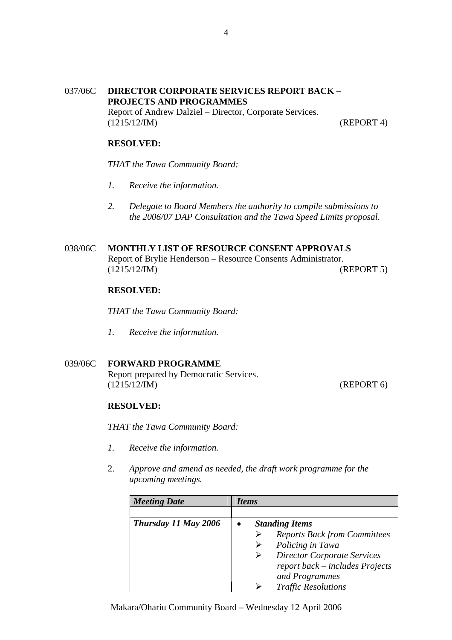## 037/06C **DIRECTOR CORPORATE SERVICES REPORT BACK – PROJECTS AND PROGRAMMES** Report of Andrew Dalziel – Director, Corporate Services. (1215/12/IM) (REPORT 4)

## **RESOLVED:**

*THAT the Tawa Community Board:* 

- *1. Receive the information.*
- *2. Delegate to Board Members the authority to compile submissions to the 2006/07 DAP Consultation and the Tawa Speed Limits proposal.*

# 038/06C **MONTHLY LIST OF RESOURCE CONSENT APPROVALS**

Report of Brylie Henderson – Resource Consents Administrator. (1215/12/IM) (REPORT 5)

## **RESOLVED:**

*THAT the Tawa Community Board:* 

*1. Receive the information.*

## 039/06C **FORWARD PROGRAMME**

Report prepared by Democratic Services. (1215/12/IM) (REPORT 6)

#### **RESOLVED:**

*THAT the Tawa Community Board:* 

- *1. Receive the information.*
- 2. *Approve and amend as needed, the draft work programme for the upcoming meetings.*

| <b>Meeting Date</b>  | <i>Items</i>                        |
|----------------------|-------------------------------------|
|                      |                                     |
| Thursday 11 May 2006 | <b>Standing Items</b>               |
|                      | <b>Reports Back from Committees</b> |
|                      | Policing in Tawa                    |
|                      | <b>Director Corporate Services</b>  |
|                      | report back – includes Projects     |
|                      | and Programmes                      |
|                      | <b>Traffic Resolutions</b>          |